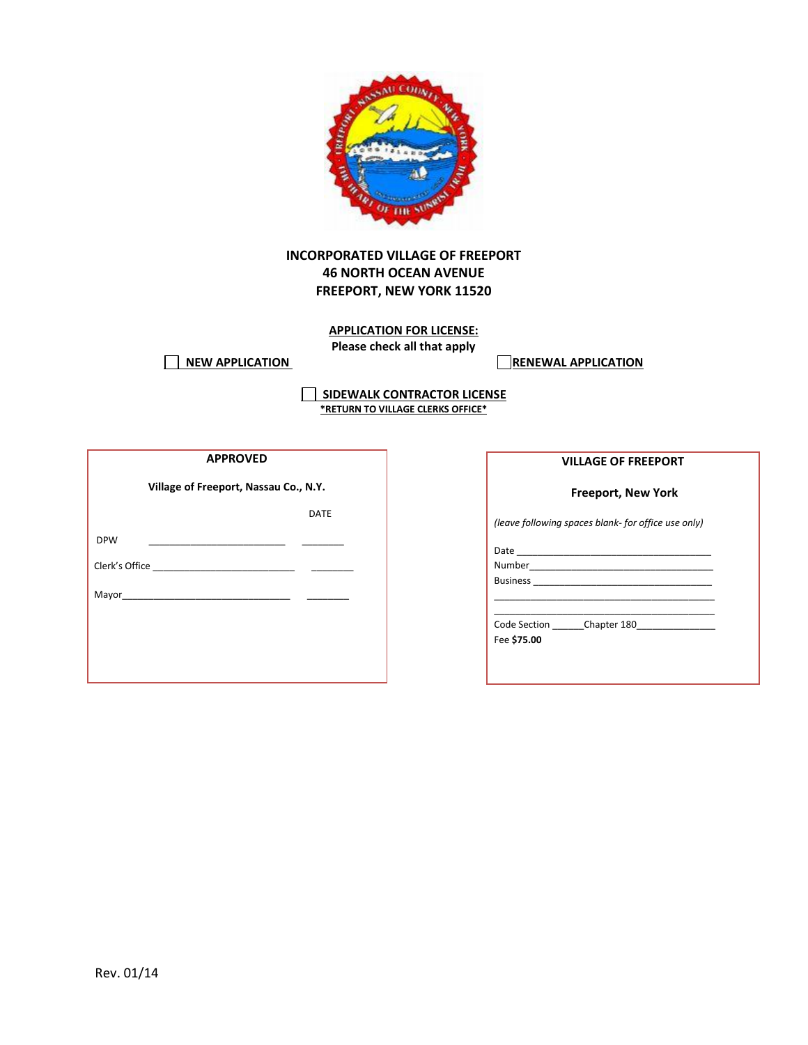

## **INCORPORATED VILLAGE OF FREEPORT 46 NORTH OCEAN AVENUE FREEPORT, NEW YORK 11520**

**APPLICATION FOR LICENSE: Please check all that apply**

**NEW APPLICATION RENEWAL APPLICATION** 

**SIDEWALK CONTRACTOR LICENSE \*RETURN TO VILLAGE CLERKS OFFICE\***

| <b>APPROVED</b>                       |             |  |  |  |
|---------------------------------------|-------------|--|--|--|
| Village of Freeport, Nassau Co., N.Y. |             |  |  |  |
|                                       | <b>DATE</b> |  |  |  |
| <b>DPW</b>                            |             |  |  |  |
|                                       |             |  |  |  |
|                                       |             |  |  |  |
|                                       |             |  |  |  |
|                                       |             |  |  |  |
|                                       |             |  |  |  |

**Freeport, New York**

*(leave following spaces blank- for office use only)* 

\_\_\_\_\_\_\_\_\_\_\_\_\_\_\_\_\_\_\_\_\_\_\_\_\_\_\_\_\_\_\_\_\_\_\_\_\_\_\_\_\_\_

Date

Number\_\_\_\_\_\_\_\_\_\_\_\_\_\_\_\_\_\_\_\_\_\_\_\_\_\_\_\_\_\_\_\_\_\_\_ Business \_\_\_\_\_\_\_\_\_\_\_\_\_\_\_\_\_\_\_\_\_\_\_\_\_\_\_\_\_\_\_\_\_\_

\_\_\_\_\_\_\_\_\_\_\_\_\_\_\_\_\_\_\_\_\_\_\_\_\_\_\_\_\_\_\_\_\_\_\_\_\_\_\_\_\_\_ Code Section \_\_\_\_\_\_Chapter 180\_\_\_\_\_\_\_\_\_\_\_\_\_\_\_

Fee **\$75.00**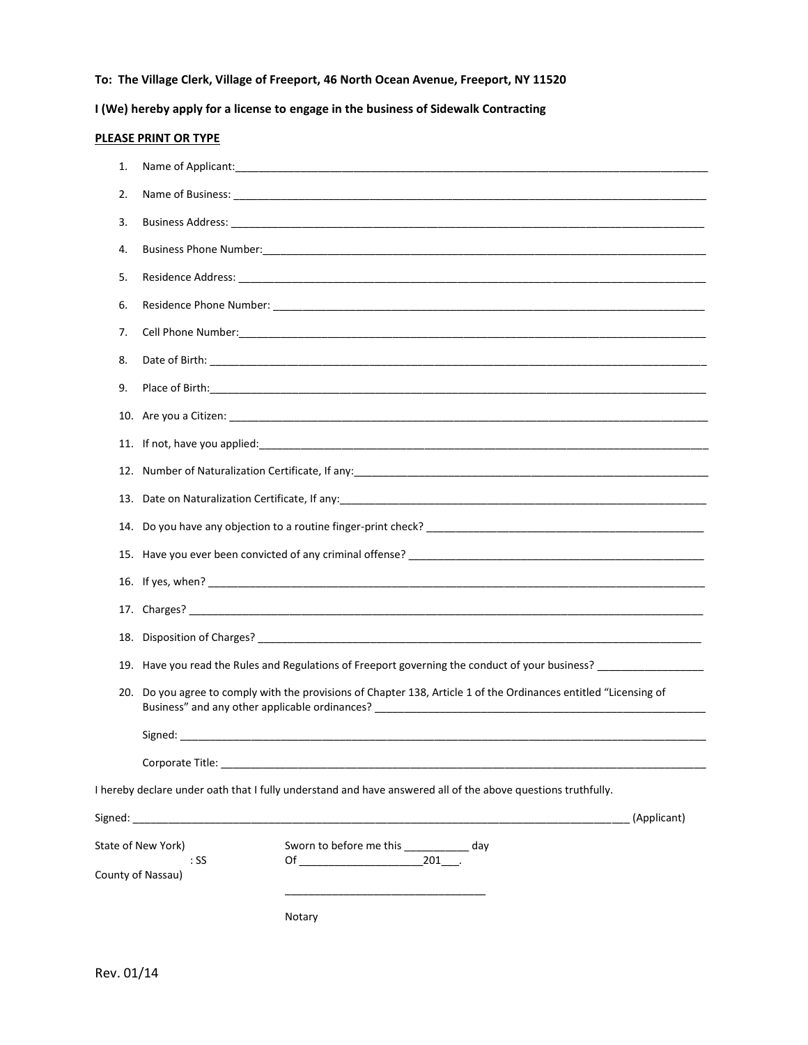**To: The Village Clerk, Village of Freeport, 46 North Ocean Avenue, Freeport, NY 11520**

**I (We) hereby apply for a license to engage in the business of Sidewalk Contracting**

## **PLEASE PRINT OR TYPE**

| 1.  |                           |                                                                                                                |             |
|-----|---------------------------|----------------------------------------------------------------------------------------------------------------|-------------|
| 2.  |                           |                                                                                                                |             |
| 3.  |                           |                                                                                                                |             |
| 4.  |                           |                                                                                                                |             |
| 5.  |                           |                                                                                                                |             |
| 6.  |                           |                                                                                                                |             |
| 7.  |                           |                                                                                                                |             |
| 8.  |                           |                                                                                                                |             |
| 9.  |                           |                                                                                                                |             |
|     |                           |                                                                                                                |             |
|     |                           |                                                                                                                |             |
|     |                           |                                                                                                                |             |
|     |                           |                                                                                                                |             |
|     |                           |                                                                                                                |             |
|     |                           |                                                                                                                |             |
|     |                           |                                                                                                                |             |
|     |                           |                                                                                                                |             |
|     |                           |                                                                                                                |             |
|     |                           | 19. Have you read the Rules and Regulations of Freeport governing the conduct of your business? ______________ |             |
| 20. |                           | Do you agree to comply with the provisions of Chapter 138, Article 1 of the Ordinances entitled "Licensing of  |             |
|     |                           |                                                                                                                |             |
|     |                           |                                                                                                                |             |
|     |                           | Corporate Title: The Corporation of the Corporate Title:                                                       |             |
|     |                           | I hereby declare under oath that I fully understand and have answered all of the above questions truthfully.   |             |
|     |                           |                                                                                                                | (Applicant) |
|     | State of New York)        | Sworn to before me this ____________ day                                                                       |             |
|     | : SS<br>County of Nassau) |                                                                                                                |             |
|     |                           |                                                                                                                |             |
|     |                           | Notary                                                                                                         |             |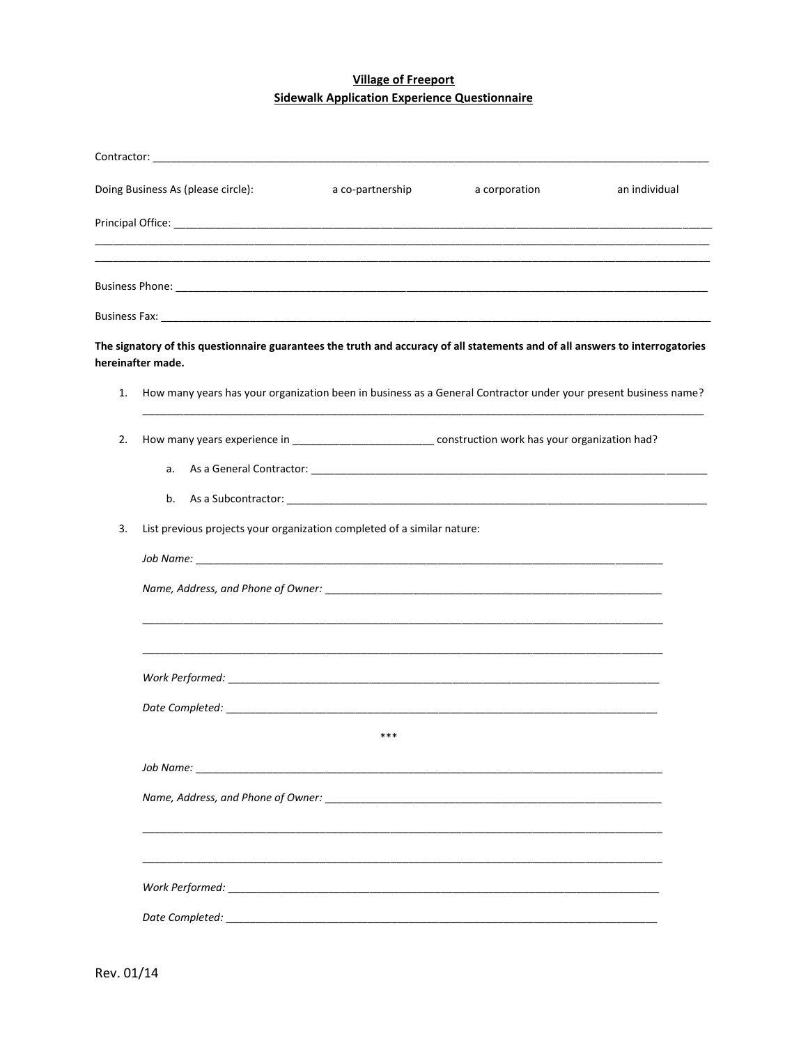## **Village of Freeport Sidewalk Application Experience Questionnaire**

|    | Doing Business As (please circle):                                                                                                                 | a co-partnership | a corporation | an individual |  |
|----|----------------------------------------------------------------------------------------------------------------------------------------------------|------------------|---------------|---------------|--|
|    |                                                                                                                                                    |                  |               |               |  |
|    |                                                                                                                                                    |                  |               |               |  |
|    |                                                                                                                                                    |                  |               |               |  |
|    | The signatory of this questionnaire guarantees the truth and accuracy of all statements and of all answers to interrogatories<br>hereinafter made. |                  |               |               |  |
| 1. | How many years has your organization been in business as a General Contractor under your present business name?                                    |                  |               |               |  |
| 2. | How many years experience in __________________________________ construction work has your organization had?                                       |                  |               |               |  |
|    | a.<br>b.                                                                                                                                           |                  |               |               |  |
| 3. | List previous projects your organization completed of a similar nature:                                                                            |                  |               |               |  |
|    |                                                                                                                                                    |                  |               |               |  |
|    |                                                                                                                                                    |                  |               |               |  |
|    |                                                                                                                                                    |                  |               |               |  |
|    |                                                                                                                                                    |                  |               |               |  |
|    |                                                                                                                                                    | ***              |               |               |  |
|    |                                                                                                                                                    |                  |               |               |  |
|    |                                                                                                                                                    |                  |               |               |  |
|    |                                                                                                                                                    |                  |               |               |  |
|    |                                                                                                                                                    |                  |               |               |  |
|    |                                                                                                                                                    |                  |               |               |  |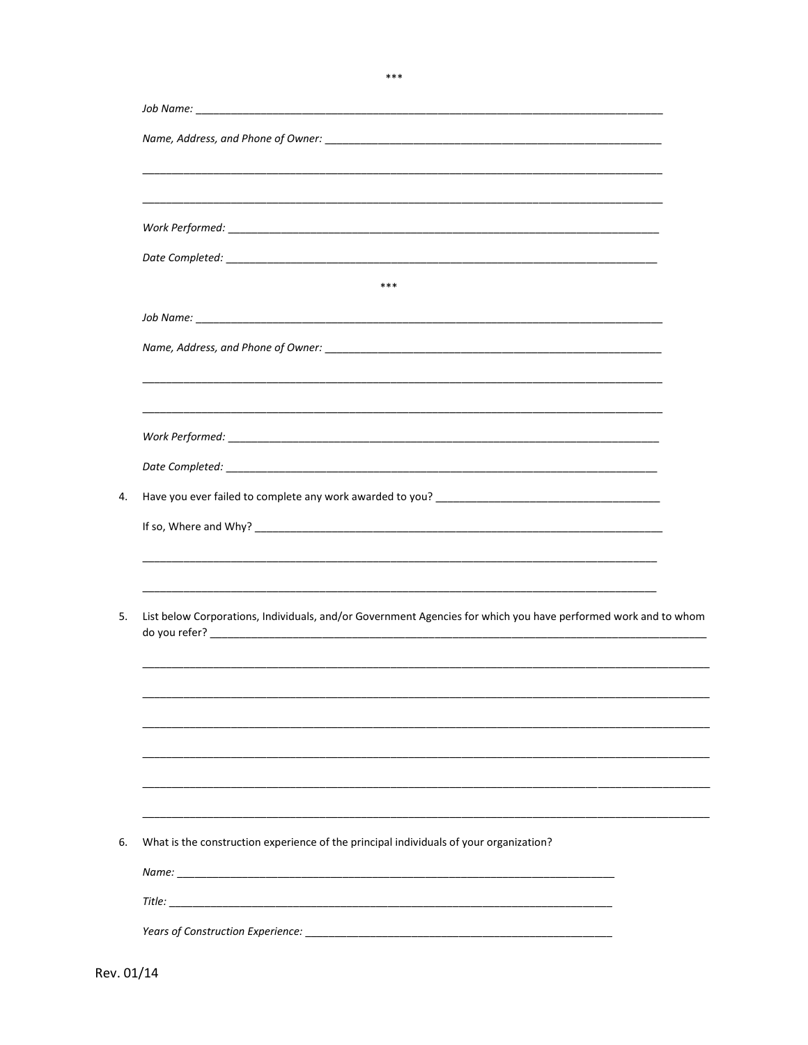| ***<br>Work Performed: We are a state of the state of the state of the state of the state of the state of the state of the state of the state of the state of the state of the state of the state of the state of the state of the st<br>List below Corporations, Individuals, and/or Government Agencies for which you have performed work and to whom<br>What is the construction experience of the principal individuals of your organization? |  |  |
|---------------------------------------------------------------------------------------------------------------------------------------------------------------------------------------------------------------------------------------------------------------------------------------------------------------------------------------------------------------------------------------------------------------------------------------------------|--|--|
|                                                                                                                                                                                                                                                                                                                                                                                                                                                   |  |  |
|                                                                                                                                                                                                                                                                                                                                                                                                                                                   |  |  |
|                                                                                                                                                                                                                                                                                                                                                                                                                                                   |  |  |
|                                                                                                                                                                                                                                                                                                                                                                                                                                                   |  |  |
|                                                                                                                                                                                                                                                                                                                                                                                                                                                   |  |  |
|                                                                                                                                                                                                                                                                                                                                                                                                                                                   |  |  |
|                                                                                                                                                                                                                                                                                                                                                                                                                                                   |  |  |
|                                                                                                                                                                                                                                                                                                                                                                                                                                                   |  |  |
|                                                                                                                                                                                                                                                                                                                                                                                                                                                   |  |  |
|                                                                                                                                                                                                                                                                                                                                                                                                                                                   |  |  |
|                                                                                                                                                                                                                                                                                                                                                                                                                                                   |  |  |
|                                                                                                                                                                                                                                                                                                                                                                                                                                                   |  |  |
|                                                                                                                                                                                                                                                                                                                                                                                                                                                   |  |  |
|                                                                                                                                                                                                                                                                                                                                                                                                                                                   |  |  |
|                                                                                                                                                                                                                                                                                                                                                                                                                                                   |  |  |
|                                                                                                                                                                                                                                                                                                                                                                                                                                                   |  |  |
|                                                                                                                                                                                                                                                                                                                                                                                                                                                   |  |  |
|                                                                                                                                                                                                                                                                                                                                                                                                                                                   |  |  |
|                                                                                                                                                                                                                                                                                                                                                                                                                                                   |  |  |
|                                                                                                                                                                                                                                                                                                                                                                                                                                                   |  |  |
|                                                                                                                                                                                                                                                                                                                                                                                                                                                   |  |  |
|                                                                                                                                                                                                                                                                                                                                                                                                                                                   |  |  |